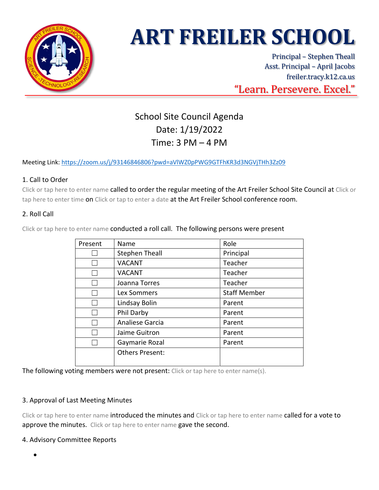

# **ART FREILER SCHOOL**

Principal – Stephen Theall Asst. Principal – April Jacobs freiler.tracy.k12.ca.us "Learn. Persevere. Excel."

# School Site Council Agenda Date: 1/19/2022 Time: 3 PM – 4 PM

Meeting Link: <https://zoom.us/j/93146846806?pwd=aVlWZ0pPWG9GTFhKR3d3NGVjTHh3Zz09>

# 1. Call to Order

Click or tap here to enter name called to order the regular meeting of the Art Freiler School Site Council at Click or tap here to enter time on Click or tap to enter a date at the Art Freiler School conference room.

# 2. Roll Call

| Present | Name                   | Role                |  |
|---------|------------------------|---------------------|--|
|         | <b>Stephen Theall</b>  | Principal           |  |
|         | <b>VACANT</b>          | Teacher             |  |
|         | <b>VACANT</b>          | Teacher             |  |
|         | Joanna Torres          | Teacher             |  |
|         | Lex Sommers            | <b>Staff Member</b> |  |
|         | Lindsay Bolin          | Parent              |  |
|         | Phil Darby             | Parent              |  |
|         | Analiese Garcia        | Parent              |  |
|         | Jaime Guitron          | Parent              |  |
|         | Gaymarie Rozal         | Parent              |  |
|         | <b>Others Present:</b> |                     |  |
|         |                        |                     |  |

Click or tap here to enter name conducted a roll call. The following persons were present

The following voting members were not present: Click or tap here to enter name(s).

### 3. Approval of Last Meeting Minutes

Click or tap here to enter name introduced the minutes and Click or tap here to enter name called for a vote to approve the minutes. Click or tap here to enter name gave the second.

### 4. Advisory Committee Reports

•